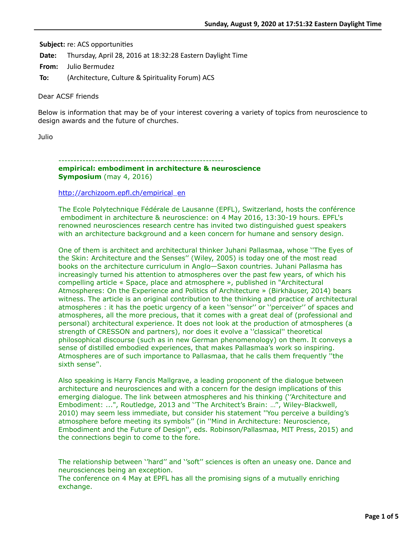**Subject:** re: ACS opportunities

**Date:** Thursday, April 28, 2016 at 18:32:28 Eastern Daylight Time

**From:** Julio Bermudez

**To:** (Architecture, Culture & Spirituality Forum) ACS

Dear ACSF friends

Below is information that may be of your interest covering a variety of topics from neuroscience to design awards and the future of churches.

Julio

------------------------------------------------------ **empirical: embodiment in architecture & neuroscience Symposium** (may 4, 2016)

#### [http://archizoom.epfl.ch/empirical\\_en](http://archizoom.epfl.ch/empirical_en)

The Ecole Polytechnique Fédérale de Lausanne (EPFL), Switzerland, hosts the conférence embodiment in architecture & neuroscience: on 4 May 2016, 13:30-19 hours. EPFL's renowned neurosciences research centre has invited two distinguished guest speakers with an architecture background and a keen concern for humane and sensory design.

One of them is architect and architectural thinker Juhani Pallasmaa, whose ''The Eyes of the Skin: Architecture and the Senses'' (Wiley, 2005) is today one of the most read books on the architecture curriculum in Anglo—Saxon countries. Juhani Pallasma has increasingly turned his attention to atmospheres over the past few years, of which his compelling article « Space, place and atmosphere », published in "Architectural Atmospheres: On the Experience and Politics of Architecture » (Birkhäuser, 2014) bears witness. The article is an original contribution to the thinking and practice of architectural atmospheres : it has the poetic urgency of a keen ''sensor'' or ''perceiver'' of spaces and atmospheres, all the more precious, that it comes with a great deal of (professional and personal) architectural experience. It does not look at the production of atmospheres (a strength of CRESSON and partners), nor does it evolve a ''classical'' theoretical philosophical discourse (such as in new German phenomenology) on them. It conveys a sense of distilled embodied experiences, that makes Pallasmaa's work so inspiring. Atmospheres are of such importance to Pallasmaa, that he calls them frequently ''the sixth sense''.

Also speaking is Harry Fancis Mallgrave, a leading proponent of the dialogue between architecture and neurosciences and with a concern for the design implications of this emerging dialogue. The link between atmospheres and his thinking (''Architecture and Embodiment: ...", Routledge, 2013 and ''The Architect's Brain: …'', Wiley-Blackwell, 2010) may seem less immediate, but consider his statement ''You perceive a building's atmosphere before meeting its symbols'' (in ''Mind in Architecture: Neuroscience, Embodiment and the Future of Design'', eds. Robinson/Pallasmaa, MIT Press, 2015) and the connections begin to come to the fore.

The relationship between ''hard'' and ''soft'' sciences is often an uneasy one. Dance and neurosciences being an exception.

The conference on 4 May at EPFL has all the promising signs of a mutually enriching exchange.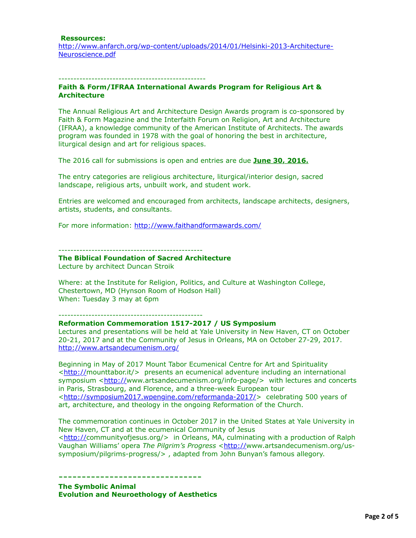#### **Ressources:**

[http://www.anfarch.org/wp-content/uploads/2014/01/Helsinki-2013-Architecture-](http://www.anfarch.org/wp-content/uploads/2014/01/Helsinki-2013-Architecture-Neuroscience.pdf)Neuroscience.pdf

#### -------------------------------------------------

#### **Faith & Form/IFRAA International Awards Program for Religious Art & Architecture**

The Annual Religious Art and Architecture Design Awards program is co-sponsored by Faith & Form Magazine and the Interfaith Forum on Religion, Art and Architecture (IFRAA), a knowledge community of the American Institute of Architects. The awards program was founded in 1978 with the goal of honoring the best in architecture, liturgical design and art for religious spaces.

The 2016 call for submissions is open and entries are due **June 30, 2016.**

The entry categories are religious architecture, liturgical/interior design, sacred landscape, religious arts, unbuilt work, and student work.

Entries are welcomed and encouraged from architects, landscape architects, designers, artists, students, and consultants.

For more information: <http://www.faithandformawards.com/>

------------------------------------------------

# **The Biblical Foundation of Sacred Architecture**

Lecture by architect Duncan Stroik

Where: at the Institute for Religion, Politics, and Culture at Washington College, Chestertown, MD (Hynson Room of Hodson Hall) When: Tuesday 3 may at 6pm

------------------------------------------------

# **Reformation Commemoration 1517-2017 / US Symposium**

Lectures and presentations will be held at Yale University in New Haven, CT on October 20-21, 2017 and at the Community of Jesus in Orleans, MA on October 27-29, 2017. <http://www.artsandecumenism.org/>

Beginning in May of 2017 Mount Tabor Ecumenical Centre for Art and Spirituality <<http://>mounttabor.it/> presents an ecumenical adventure including an international symposium [<http://](http://)www.artsandecumenism.org/info-page/> with lectures and concerts in Paris, Strasbourg, and Florence, and a three-week European tour <<http://symposium2017.wpengine.com/reformanda-2017/>> celebrating 500 years of art, architecture, and theology in the ongoing Reformation of the Church.

The commemoration continues in October 2017 in the United States at Yale University in New Haven, CT and at the ecumenical Community of Jesus

<<http://>communityofjesus.org/> in Orleans, MA, culminating with a production of Ralph Vaughan Williams' opera *The Pilgrim's Progress* [<http://w](http://)ww.artsandecumenism.org/ussymposium/pilgrims-progress/> , adapted from John Bunyan's famous allegory.

**The Symbolic Animal Evolution and Neuroethology of Aesthetics**

-------------------------------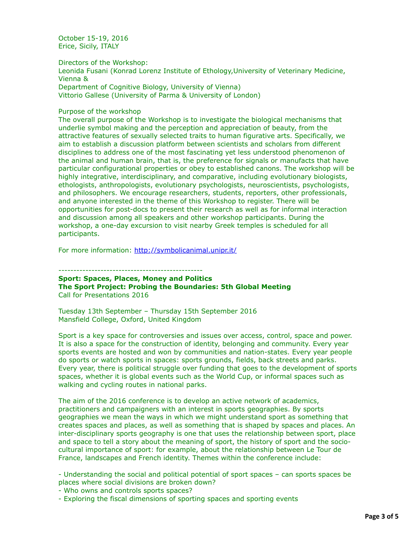October 15-19, 2016 Erice, Sicily, ITALY

Directors of the Workshop:

Leonida Fusani (Konrad Lorenz Institute of Ethology,University of Veterinary Medicine, Vienna & Department of Cognitive Biology, University of Vienna) Vittorio Gallese (University of Parma & University of London)

### Purpose of the workshop

The overall purpose of the Workshop is to investigate the biological mechanisms that underlie symbol making and the perception and appreciation of beauty, from the attractive features of sexually selected traits to human figurative arts. Specifically, we aim to establish a discussion platform between scientists and scholars from different disciplines to address one of the most fascinating yet less understood phenomenon of the animal and human brain, that is, the preference for signals or manufacts that have particular configurational properties or obey to established canons. The workshop will be highly integrative, interdisciplinary, and comparative, including evolutionary biologists, ethologists, anthropologists, evolutionary psychologists, neuroscientists, psychologists, and philosophers. We encourage researchers, students, reporters, other professionals, and anyone interested in the theme of this Workshop to register. There will be opportunities for post-docs to present their research as well as for informal interaction and discussion among all speakers and other workshop participants. During the workshop, a one-day excursion to visit nearby Greek temples is scheduled for all participants.

For more information: <http://symbolicanimal.unipr.it/>

------------------------------------------------

**Sport: Spaces, Places, Money and Politics The Sport Project: Probing the Boundaries: 5th Global Meeting** Call for Presentations 2016

Tuesday 13th September – Thursday 15th September 2016 Mansfield College, Oxford, United Kingdom

Sport is a key space for controversies and issues over access, control, space and power. It is also a space for the construction of identity, belonging and community. Every year sports events are hosted and won by communities and nation-states. Every year people do sports or watch sports in spaces: sports grounds, fields, back streets and parks. Every year, there is political struggle over funding that goes to the development of sports spaces, whether it is global events such as the World Cup, or informal spaces such as walking and cycling routes in national parks.

The aim of the 2016 conference is to develop an active network of academics, practitioners and campaigners with an interest in sports geographies. By sports geographies we mean the ways in which we might understand sport as something that creates spaces and places, as well as something that is shaped by spaces and places. An inter-disciplinary sports geography is one that uses the relationship between sport, place and space to tell a story about the meaning of sport, the history of sport and the sociocultural importance of sport: for example, about the relationship between Le Tour de France, landscapes and French identity. Themes within the conference include:

- Understanding the social and political potential of sport spaces – can sports spaces be places where social divisions are broken down?

- Who owns and controls sports spaces?

- Exploring the fiscal dimensions of sporting spaces and sporting events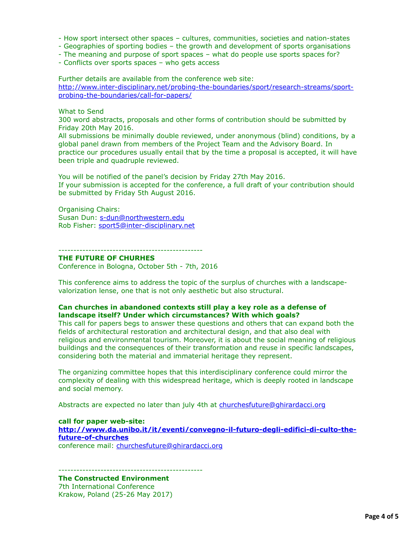- How sport intersect other spaces – cultures, communities, societies and nation-states

- Geographies of sporting bodies the growth and development of sports organisations
- The meaning and purpose of sport spaces what do people use sports spaces for?
- Conflicts over sports spaces who gets access

Further details are available from the conference web site: [http://www.inter-disciplinary.net/probing-the-boundaries/sport/research-streams/sport](http://www.inter-disciplinary.net/probing-the-boundaries/sport/research-streams/sport-probing-the-boundaries/call-for-papers/)probing-the-boundaries/call-for-papers/

### What to Send

300 word abstracts, proposals and other forms of contribution should be submitted by Friday 20th May 2016.

All submissions be minimally double reviewed, under anonymous (blind) conditions, by a global panel drawn from members of the Project Team and the Advisory Board. In practice our procedures usually entail that by the time a proposal is accepted, it will have been triple and quadruple reviewed.

You will be notified of the panel's decision by Friday 27th May 2016. If your submission is accepted for the conference, a full draft of your contribution should be submitted by Friday 5th August 2016.

Organising Chairs: Susan Dun: [s-dun@northwestern.edu](applewebdata://25EAD37A-8019-4A6F-BEEE-51FACCBD574E/s-dun@northwestern.edu) Rob Fisher: [sport5@inter-disciplinary.net](applewebdata://25EAD37A-8019-4A6F-BEEE-51FACCBD574E/sport5@inter-disciplinary.net)

------------------------------------------------

# **THE FUTURE OF CHURHES**

Conference in Bologna, October 5th - 7th, 2016

This conference aims to address the topic of the surplus of churches with a landscapevalorization lense, one that is not only aesthetic but also structural.

#### **Can churches in abandoned contexts still play a key role as a defense of landscape itself? Under which circumstances? With which goals?**

This call for papers begs to answer these questions and others that can expand both the fields of architectural restoration and architectural design, and that also deal with religious and environmental tourism. Moreover, it is about the social meaning of religious buildings and the consequences of their transformation and reuse in specific landscapes, considering both the material and immaterial heritage they represent.

The organizing committee hopes that this interdisciplinary conference could mirror the complexity of dealing with this widespread heritage, which is deeply rooted in landscape and social memory.

Abstracts are expected no later than july 4th at [churchesfuture@ghirardacci.org](applewebdata://25EAD37A-8019-4A6F-BEEE-51FACCBD574E/churchesfuture@ghirardacci.org)

**call for paper web-site: [http://www.da.unibo.it/it/eventi/convegno-il-futuro-degli-edifici-di-culto-the](http://www.da.unibo.it/it/eventi/convegno-il-futuro-degli-edifici-di-culto-the-future-of-churches)future-of-churches** conference mail: [churchesfuture@ghirardacci.org](applewebdata://25EAD37A-8019-4A6F-BEEE-51FACCBD574E/churchesfuture@ghirardacci.org)

------------------------------------------------

**The Constructed Environment** 7th International Conference Krakow, Poland (25-26 May 2017)